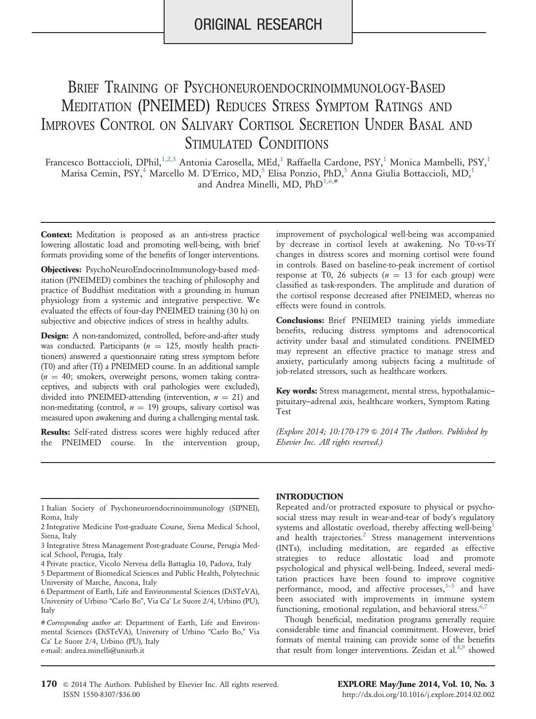# BRIEF TRAINING OF PSYCHONEUROENDOCRINOIMMUNOLOGY-BASED MEDITATION (PNEIMED) REDUCES STRESS SYMPTOM RATINGS AND IMPROVES CONTROL ON SALIVARY CORTISOL SECRETION UNDER BASAL AND STIMULATED CONDITIONS

Francesco Bottaccioli, DPhil,<sup>1,2,3</sup> Antonia Carosella, MEd,<sup>1</sup> Raffaella Cardone, PSY,<sup>1</sup> Monica Mambelli, PSY,<sup>1</sup> Marisa Cemin, PSY,<sup>4</sup> Marcello M. D'Errico, MD,<sup>5</sup> Elisa Ponzio, PhD,<sup>5</sup> Anna Giulia Bottaccioli, MD,<sup>1</sup> and Andrea Minelli, MD,  $PhD^{1,6,\#}$ 

Context: Meditation is proposed as an anti-stress practice lowering allostatic load and promoting well-being, with brief formats providing some of the benefits of longer interventions.

Objectives: PsychoNeuroEndocrinoImmunology-based meditation (PNEIMED) combines the teaching of philosophy and practice of Buddhist meditation with a grounding in human physiology from a systemic and integrative perspective. We evaluated the effects of four-day PNEIMED training (30 h) on subjective and objective indices of stress in healthy adults.

Design: A non-randomized, controlled, before-and-after study was conducted. Participants ( $n = 125$ , mostly health practitioners) answered a questionnaire rating stress symptom before (T0) and after (Tf) a PNEIMED course. In an additional sample  $(n = 40;$  smokers, overweight persons, women taking contraceptives, and subjects with oral pathologies were excluded), divided into PNEIMED-attending (intervention,  $n = 21$ ) and non-meditating (control,  $n = 19$ ) groups, salivary cortisol was measured upon awakening and during a challenging mental task.

Results: Self-rated distress scores were highly reduced after the PNEIMED course. In the intervention group,

improvement of psychological well-being was accompanied by decrease in cortisol levels at awakening. No T0-vs-Tf changes in distress scores and morning cortisol were found in controls. Based on baseline-to-peak increment of cortisol response at T0, 26 subjects ( $n = 13$  for each group) were classified as task-responders. The amplitude and duration of the cortisol response decreased after PNEIMED, whereas no effects were found in controls.

Conclusions: Brief PNEIMED training yields immediate benefits, reducing distress symptoms and adrenocortical activity under basal and stimulated conditions. PNEIMED may represent an effective practice to manage stress and anxiety, particularly among subjects facing a multitude of job-related stressors, such as healthcare workers.

Key words: Stress management, mental stress, hypothalamic– pituitary–adrenal axis, healthcare workers, Symptom Rating Test

(Explore 2014; 10:170-179  $\odot$  2014 The Authors. Published by Elsevier Inc. All rights reserved.)

# INTRODUCTION

Repeated and/or protracted exposure to physical or psychosocial stress may result in wear-and-tear of body's regulatory systems and allostatic overload, thereby affecting well-being<sup>1</sup> and health trajectories.<sup>2</sup> Stress management interventions (INTs), including meditation, are regarded as effective strategies to reduce allostatic load and promote psychological and physical well-being. Indeed, several meditation practices have been found to improve cognitive performance, mood, and affective processes, $3-5$  $3-5$  and have been associated with improvements in immune system functioning, emotional regulation, and behavioral stress.<sup>6,7</sup>

Though beneficial, meditation programs generally require considerable time and financial commitment. However, brief formats of mental training can provide some of the benefits e-mail: [andrea.minelli@uniurb.it](mailto:andrea.minelli@uniurb.it) **hat result from longer interventions.** Zeidan et al.<sup>[8,9](#page-8-0)</sup> showed

<sup>1</sup> Italian Society of Psychoneuroendocrinoimmunology (SIPNEI), Roma, Italy

<sup>2</sup> Integrative Medicine Post-graduate Course, Siena Medical School, Siena, Italy

<sup>3</sup> Integrative Stress Management Post-graduate Course, Perugia Medical School, Perugia, Italy

<sup>4</sup> Private practice, Vicolo Nervesa della Battaglia 10, Padova, Italy

<sup>5</sup> Department of Biomedical Sciences and Public Health, Polytechnic University of Marche, Ancona, Italy

<sup>6</sup> Department of Earth, Life and Environmental Sciences (DiSTeVA), University of Urbino "Carlo Bo", Via Ca' Le Suore 2/4, Urbino (PU), Italy

<sup>#</sup> Corresponding author at: Department of Earth, Life and Environmental Sciences (DiSTeVA), University of Urbino "Carlo Bo," Via Ca' Le Suore 2/4, Urbino (PU), Italy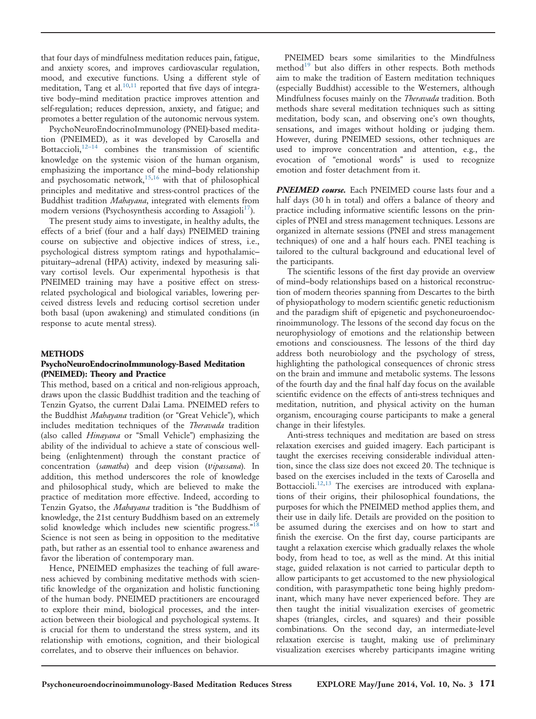that four days of mindfulness meditation reduces pain, fatigue, and anxiety scores, and improves cardiovascular regulation, mood, and executive functions. Using a different style of meditation, Tang et al. $10,11$  reported that five days of integrative body–mind meditation practice improves attention and self-regulation; reduces depression, anxiety, and fatigue; and promotes a better regulation of the autonomic nervous system.

PsychoNeuroEndocrinoImmunology (PNEI)-based meditation (PNEIMED), as it was developed by Carosella and Bottaccioli,<sup>[12](#page-8-0)–14</sup> combines the transmission of scientific knowledge on the systemic vision of the human organism, emphasizing the importance of the mind–body relationship and psychosomatic network, $15,16$  with that of philosophical principles and meditative and stress-control practices of the Buddhist tradition Mahayana, integrated with elements from modern versions (Psychosynthesis according to Assagioli<sup>[17](#page-8-0)</sup>).

The present study aims to investigate, in healthy adults, the effects of a brief (four and a half days) PNEIMED training course on subjective and objective indices of stress, i.e., psychological distress symptom ratings and hypothalamic– pituitary–adrenal (HPA) activity, indexed by measuring salivary cortisol levels. Our experimental hypothesis is that PNEIMED training may have a positive effect on stressrelated psychological and biological variables, lowering perceived distress levels and reducing cortisol secretion under both basal (upon awakening) and stimulated conditions (in response to acute mental stress).

## **METHODS**

# PsychoNeuroEndocrinoImmunology-Based Meditation (PNEIMED): Theory and Practice

This method, based on a critical and non-religious approach, draws upon the classic Buddhist tradition and the teaching of Tenzin Gyatso, the current Dalai Lama. PNEIMED refers to the Buddhist Mahayana tradition (or "Great Vehicle"), which includes meditation techniques of the Theravada tradition (also called *Hinayana* or "Small Vehicle") emphasizing the ability of the individual to achieve a state of conscious wellbeing (enlightenment) through the constant practice of concentration (samatha) and deep vision (vipassana). In addition, this method underscores the role of knowledge and philosophical study, which are believed to make the practice of meditation more effective. Indeed, according to Tenzin Gyatso, the Mahayana tradition is "the Buddhism of knowledge, the 21st century Buddhism based on an extremely solid knowledge which includes new scientific progress."<sup>[18](#page-8-0)</sup> Science is not seen as being in opposition to the meditative path, but rather as an essential tool to enhance awareness and favor the liberation of contemporary man.

Hence, PNEIMED emphasizes the teaching of full awareness achieved by combining meditative methods with scientific knowledge of the organization and holistic functioning of the human body. PNEIMED practitioners are encouraged to explore their mind, biological processes, and the interaction between their biological and psychological systems. It is crucial for them to understand the stress system, and its relationship with emotions, cognition, and their biological correlates, and to observe their influences on behavior.

PNEIMED bears some similarities to the Mindfulness method<sup>[19](#page-8-0)</sup> but also differs in other respects. Both methods aim to make the tradition of Eastern meditation techniques (especially Buddhist) accessible to the Westerners, although Mindfulness focuses mainly on the *Theravada* tradition. Both methods share several meditation techniques such as sitting meditation, body scan, and observing one's own thoughts, sensations, and images without holding or judging them. However, during PNEIMED sessions, other techniques are used to improve concentration and attention, e.g., the evocation of "emotional words" is used to recognize emotion and foster detachment from it.

PNEIMED course. Each PNEIMED course lasts four and a half days (30 h in total) and offers a balance of theory and practice including informative scientific lessons on the principles of PNEI and stress management techniques. Lessons are organized in alternate sessions (PNEI and stress management techniques) of one and a half hours each. PNEI teaching is tailored to the cultural background and educational level of the participants.

The scientific lessons of the first day provide an overview of mind–body relationships based on a historical reconstruction of modern theories spanning from Descartes to the birth of physiopathology to modern scientific genetic reductionism and the paradigm shift of epigenetic and psychoneuroendocrinoimmunology. The lessons of the second day focus on the neurophysiology of emotions and the relationship between emotions and consciousness. The lessons of the third day address both neurobiology and the psychology of stress, highlighting the pathological consequences of chronic stress on the brain and immune and metabolic systems. The lessons of the fourth day and the final half day focus on the available scientific evidence on the effects of anti-stress techniques and meditation, nutrition, and physical activity on the human organism, encouraging course participants to make a general change in their lifestyles.

Anti-stress techniques and meditation are based on stress relaxation exercises and guided imagery. Each participant is taught the exercises receiving considerable individual attention, since the class size does not exceed 20. The technique is based on the exercises included in the texts of Carosella and Bottaccioli.<sup>[12,13](#page-8-0)</sup> The exercises are introduced with explanations of their origins, their philosophical foundations, the purposes for which the PNEIMED method applies them, and their use in daily life. Details are provided on the position to be assumed during the exercises and on how to start and finish the exercise. On the first day, course participants are taught a relaxation exercise which gradually relaxes the whole body, from head to toe, as well as the mind. At this initial stage, guided relaxation is not carried to particular depth to allow participants to get accustomed to the new physiological condition, with parasympathetic tone being highly predominant, which many have never experienced before. They are then taught the initial visualization exercises of geometric shapes (triangles, circles, and squares) and their possible combinations. On the second day, an intermediate-level relaxation exercise is taught, making use of preliminary visualization exercises whereby participants imagine writing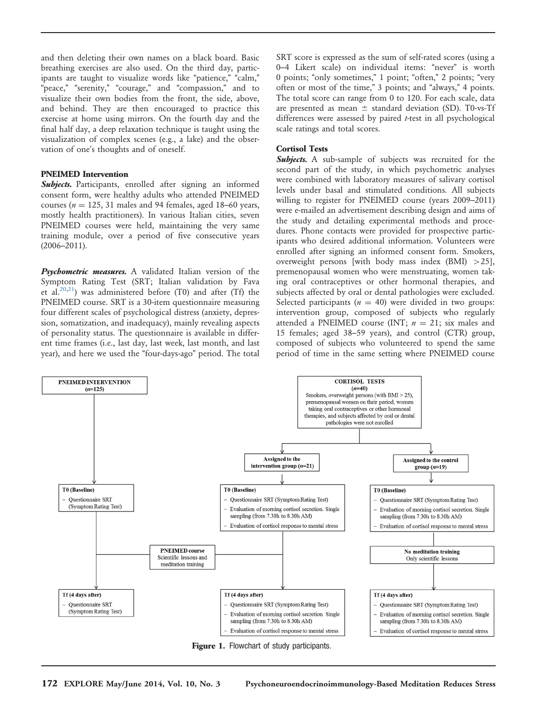<span id="page-2-0"></span>and then deleting their own names on a black board. Basic breathing exercises are also used. On the third day, participants are taught to visualize words like "patience," "calm," "peace," "serenity," "courage," and "compassion," and to visualize their own bodies from the front, the side, above, and behind. They are then encouraged to practice this exercise at home using mirrors. On the fourth day and the final half day, a deep relaxation technique is taught using the visualization of complex scenes (e.g., a lake) and the observation of one's thoughts and of oneself.

#### PNEIMED Intervention

Subjects. Participants, enrolled after signing an informed consent form, were healthy adults who attended PNEIMED courses ( $n = 125$ , 31 males and 94 females, aged 18–60 years, mostly health practitioners). In various Italian cities, seven PNEIMED courses were held, maintaining the very same training module, over a period of five consecutive years (2006–2011).

Psychometric measures. A validated Italian version of the Symptom Rating Test (SRT; Italian validation by Fava et al.<sup>20,21</sup>) was administered before (T0) and after (Tf) the PNEIMED course. SRT is a 30-item questionnaire measuring four different scales of psychological distress (anxiety, depression, somatization, and inadequacy), mainly revealing aspects of personality status. The questionnaire is available in different time frames (i.e., last day, last week, last month, and last year), and here we used the "four-days-ago" period. The total

SRT score is expressed as the sum of self-rated scores (using a 0–4 Likert scale) on individual items: "never" is worth 0 points; "only sometimes," 1 point; "often," 2 points; "very often or most of the time," 3 points; and "always," 4 points. The total score can range from 0 to 120. For each scale, data are presented as mean  $\pm$  standard deviation (SD). T0-vs-Tf differences were assessed by paired t-test in all psychological scale ratings and total scores.

## Cortisol Tests

Subjects. A sub-sample of subjects was recruited for the second part of the study, in which psychometric analyses were combined with laboratory measures of salivary cortisol levels under basal and stimulated conditions. All subjects willing to register for PNEIMED course (years 2009–2011) were e-mailed an advertisement describing design and aims of the study and detailing experimental methods and procedures. Phone contacts were provided for prospective participants who desired additional information. Volunteers were enrolled after signing an informed consent form. Smokers, overweight persons [with body mass index  $(BMI) > 25$ ], premenopausal women who were menstruating, women taking oral contraceptives or other hormonal therapies, and subjects affected by oral or dental pathologies were excluded. Selected participants ( $n = 40$ ) were divided in two groups: intervention group, composed of subjects who regularly attended a PNEIMED course (INT;  $n = 21$ ; six males and 15 females; aged 38–59 years), and control (CTR) group, composed of subjects who volunteered to spend the same period of time in the same setting where PNEIMED course



Figure 1. Flowchart of study participants.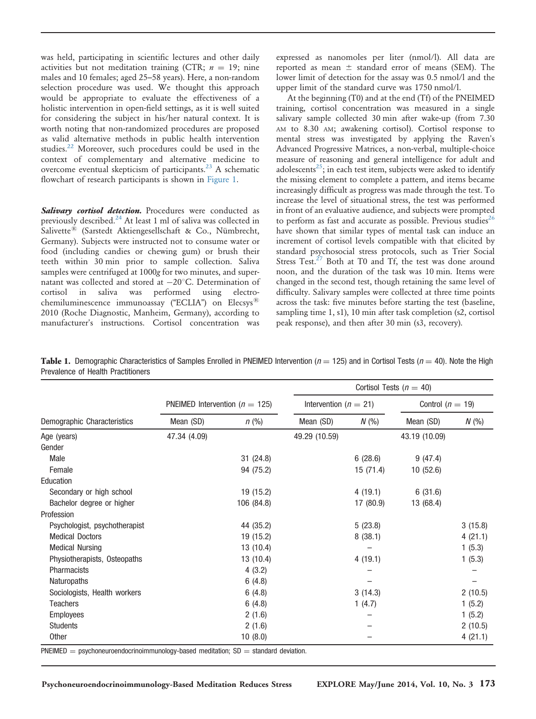<span id="page-3-0"></span>was held, participating in scientific lectures and other daily activities but not meditation training (CTR;  $n = 19$ ; nine males and 10 females; aged 25–58 years). Here, a non-random selection procedure was used. We thought this approach would be appropriate to evaluate the effectiveness of a holistic intervention in open-field settings, as it is well suited for considering the subject in his/her natural context. It is worth noting that non-randomized procedures are proposed as valid alternative methods in public health intervention studies.[22](#page-8-0) Moreover, such procedures could be used in the context of complementary and alternative medicine to overcome eventual skepticism of participants.<sup>[23](#page-8-0)</sup> A schematic flowchart of research participants is shown in [Figure 1](#page-2-0).

Salivary cortisol detection. Procedures were conducted as previously described.<sup>24</sup> At least 1 ml of saliva was collected in Salivette<sup>®</sup> (Sarstedt Aktiengesellschaft & Co., Nümbrecht, Germany). Subjects were instructed not to consume water or food (including candies or chewing gum) or brush their teeth within 30 min prior to sample collection. Saliva samples were centrifuged at 1000g for two minutes, and supernatant was collected and stored at  $-20^{\circ}$ C. Determination of cortisol in saliva was performed using electrochemiluminescence immunoassay ("ECLIA") on Elecsys® 2010 (Roche Diagnostic, Manheim, Germany), according to manufacturer's instructions. Cortisol concentration was

expressed as nanomoles per liter (nmol/l). All data are reported as mean  $\pm$  standard error of means (SEM). The lower limit of detection for the assay was 0.5 nmol/l and the upper limit of the standard curve was 1750 nmol/l.

At the beginning (T0) and at the end (Tf) of the PNEIMED training, cortisol concentration was measured in a single salivary sample collected 30 min after wake-up (from 7.30 AM to 8.30 AM; awakening cortisol). Cortisol response to mental stress was investigated by applying the Raven's Advanced Progressive Matrices, a non-verbal, multiple-choice measure of reasoning and general intelligence for adult and adolescents<sup>25</sup>; in each test item, subjects were asked to identify the missing element to complete a pattern, and items became increasingly difficult as progress was made through the test. To increase the level of situational stress, the test was performed in front of an evaluative audience, and subjects were prompted to perform as fast and accurate as possible. Previous studies<sup>26</sup> have shown that similar types of mental task can induce an increment of cortisol levels compatible with that elicited by standard psychosocial stress protocols, such as Trier Social Stress Test.<sup>27</sup> Both at T0 and Tf, the test was done around noon, and the duration of the task was 10 min. Items were changed in the second test, though retaining the same level of difficulty. Salivary samples were collected at three time points across the task: five minutes before starting the test (baseline, sampling time 1, s1), 10 min after task completion (s2, cortisol peak response), and then after 30 min (s3, recovery).

**Table 1.** Demographic Characteristics of Samples Enrolled in PNEIMED Intervention ( $n = 125$ ) and in Cortisol Tests ( $n = 40$ ). Note the High Prevalence of Health Practitioners

|                               |                                    |            | Cortisol Tests ( $n = 40$ ) |           |                      |         |  |
|-------------------------------|------------------------------------|------------|-----------------------------|-----------|----------------------|---------|--|
|                               | PNEIMED Intervention ( $n = 125$ ) |            | Intervention ( $n = 21$ )   |           | Control ( $n = 19$ ) |         |  |
| Demographic Characteristics   | Mean (SD)                          | n (%)      | Mean (SD)                   | N(%)      | Mean (SD)            | N(%)    |  |
| Age (years)                   | 47.34 (4.09)                       |            | 49.29 (10.59)               |           | 43.19 (10.09)        |         |  |
| Gender                        |                                    |            |                             |           |                      |         |  |
| Male                          |                                    | 31 (24.8)  |                             | 6(28.6)   | 9(47.4)              |         |  |
| Female                        |                                    | 94 (75.2)  |                             | 15(71.4)  | 10(52.6)             |         |  |
| Education                     |                                    |            |                             |           |                      |         |  |
| Secondary or high school      |                                    | 19 (15.2)  |                             | 4(19.1)   | 6(31.6)              |         |  |
| Bachelor degree or higher     |                                    | 106 (84.8) |                             | 17 (80.9) | 13 (68.4)            |         |  |
| Profession                    |                                    |            |                             |           |                      |         |  |
| Psychologist, psychotherapist |                                    | 44 (35.2)  |                             | 5(23.8)   |                      | 3(15.8) |  |
| <b>Medical Doctors</b>        |                                    | 19 (15.2)  |                             | 8(38.1)   |                      | 4(21.1) |  |
| <b>Medical Nursing</b>        |                                    | 13 (10.4)  |                             |           |                      | 1(5.3)  |  |
| Physiotherapists, Osteopaths  |                                    | 13 (10.4)  |                             | 4(19.1)   |                      | 1(5.3)  |  |
| Pharmacists                   |                                    | 4(3.2)     |                             |           |                      |         |  |
| <b>Naturopaths</b>            |                                    | 6(4.8)     |                             |           |                      |         |  |
| Sociologists, Health workers  |                                    | 6(4.8)     |                             | 3(14.3)   |                      | 2(10.5) |  |
| <b>Teachers</b>               |                                    | 6(4.8)     |                             | 1(4.7)    |                      | 1(5.2)  |  |
| <b>Employees</b>              |                                    | 2(1.6)     |                             |           |                      | 1(5.2)  |  |
| <b>Students</b>               |                                    | 2(1.6)     |                             |           |                      | 2(10.5) |  |
| <b>Other</b>                  |                                    | 10(8.0)    |                             |           |                      | 4(21.1) |  |

 $PNEIMED =$  psychoneuroendocrinoimmunology-based meditation;  $SD =$  standard deviation.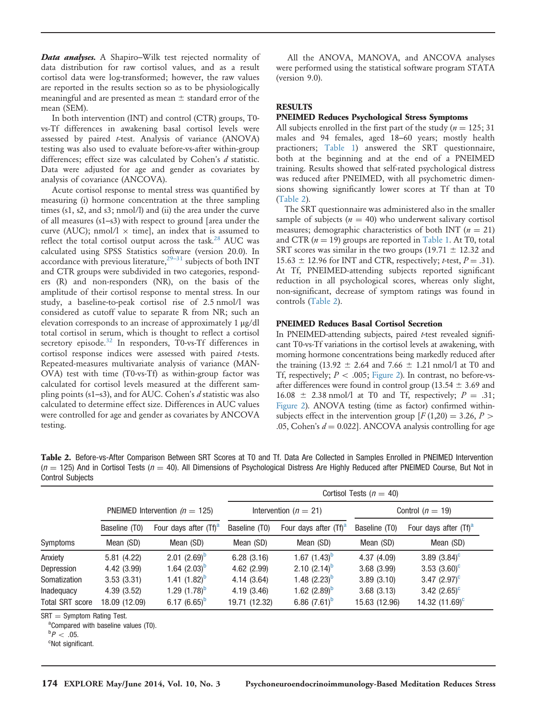Data analyses. A Shapiro-Wilk test rejected normality of data distribution for raw cortisol values, and as a result cortisol data were log-transformed; however, the raw values are reported in the results section so as to be physiologically meaningful and are presented as mean  $\pm$  standard error of the mean (SEM).

In both intervention (INT) and control (CTR) groups, T0 vs-Tf differences in awakening basal cortisol levels were assessed by paired t-test. Analysis of variance (ANOVA) testing was also used to evaluate before-vs-after within-group differences; effect size was calculated by Cohen's d statistic. Data were adjusted for age and gender as covariates by analysis of covariance (ANCOVA).

Acute cortisol response to mental stress was quantified by measuring (i) hormone concentration at the three sampling times (s1, s2, and s3; nmol/l) and (ii) the area under the curve of all measures (s1–s3) with respect to ground [area under the curve (AUC); nmol/l  $\times$  time], an index that is assumed to reflect the total cortisol output across the task.<sup>28</sup> AUC was calculated using SPSS Statistics software (version 20.0). In accordance with previous literature, $29-31$  $29-31$  subjects of both INT and CTR groups were subdivided in two categories, responders (R) and non-responders (NR), on the basis of the amplitude of their cortisol response to mental stress. In our study, a baseline-to-peak cortisol rise of 2.5 nmol/l was considered as cutoff value to separate R from NR; such an elevation corresponds to an increase of approximately 1 μg/dl total cortisol in serum, which is thought to reflect a cortisol secretory episode.<sup>[32](#page-8-0)</sup> In responders, T0-vs-Tf differences in cortisol response indices were assessed with paired t-tests. Repeated-measures multivariate analysis of variance (MAN-OVA) test with time (T0-vs-Tf) as within-group factor was calculated for cortisol levels measured at the different sampling points (s1–s3), and for AUC. Cohen's d statistic was also calculated to determine effect size. Differences in AUC values were controlled for age and gender as covariates by ANCOVA testing.

All the ANOVA, MANOVA, and ANCOVA analyses were performed using the statistical software program STATA (version 9.0).

# **RESULTS**

#### PNEIMED Reduces Psychological Stress Symptoms

All subjects enrolled in the first part of the study ( $n = 125$ ; 31 males and 94 females, aged 18–60 years; mostly health practioners; [Table 1](#page-3-0)) answered the SRT questionnaire, both at the beginning and at the end of a PNEIMED training. Results showed that self-rated psychological distress was reduced after PNEIMED, with all psychometric dimensions showing significantly lower scores at Tf than at T0 (Table 2).

The SRT questionnaire was administered also in the smaller sample of subjects ( $n = 40$ ) who underwent salivary cortisol measures; demographic characteristics of both INT ( $n = 21$ ) and CTR  $(n = 19)$  groups are reported in [Table 1.](#page-3-0) At T0, total SRT scores was similar in the two groups (19.71  $\pm$  12.32 and 15.63  $\pm$  12.96 for INT and CTR, respectively; *t*-test, *P* = .31). At Tf, PNEIMED-attending subjects reported significant reduction in all psychological scores, whereas only slight, non-significant, decrease of symptom ratings was found in controls (Table 2).

# PNEIMED Reduces Basal Cortisol Secretion

In PNEIMED-attending subjects, paired t-test revealed significant T0-vs-Tf variations in the cortisol levels at awakening, with morning hormone concentrations being markedly reduced after the training (13.92  $\pm$  2.64 and 7.66  $\pm$  1.21 nmol/l at T0 and Tf, respectively;  $P < .005$ ; [Figure 2](#page-5-0)). In contrast, no before-vsafter differences were found in control group (13.54  $\pm$  3.69 and  $16.08 \pm 2.38 \text{ nmol/1}$  at T0 and Tf, respectively;  $P = .31$ ; [Figure 2](#page-5-0)). ANOVA testing (time as factor) confirmed withinsubjects effect in the intervention group  $[F(1,20) = 3.26, P >$ .05, Cohen's  $d = 0.022$ ]. ANCOVA analysis controlling for age

Table 2. Before-vs-After Comparison Between SRT Scores at T0 and Tf. Data Are Collected in Samples Enrolled in PNEIMED Intervention  $(n = 125)$  And in Cortisol Tests  $(n = 40)$ . All Dimensions of Psychological Distress Are Highly Reduced after PNEIMED Course, But Not in Control Subjects

|                        |                                    |                                   | Cortisol Tests ( $n = 40$ ) |                                   |                    |                                   |  |  |
|------------------------|------------------------------------|-----------------------------------|-----------------------------|-----------------------------------|--------------------|-----------------------------------|--|--|
|                        | PNEIMED Intervention ( $n = 125$ ) |                                   | Intervention ( $n = 21$ )   |                                   | Control $(n = 19)$ |                                   |  |  |
|                        | Baseline (T0)                      | Four days after (Tf) <sup>a</sup> | Baseline (T0)               | Four days after (Tf) <sup>a</sup> | Baseline (T0)      | Four days after (Tf) <sup>a</sup> |  |  |
| Symptoms               | Mean (SD)                          | Mean (SD)                         | Mean (SD)                   | Mean (SD)                         | Mean (SD)          | Mean (SD)                         |  |  |
| Anxiety                | 5.81(4.22)                         | 2.01 $(2.69)^b$                   | 6.28(3.16)                  | 1.67 $(1.43)^b$                   | 4.37 (4.09)        | 3.89 $(3.84)^c$                   |  |  |
| Depression             | 4.42 (3.99)                        | 1.64 $(2.03)^{D}$                 | 4.62(2.99)                  | 2.10 $(2.14)^b$                   | 3.68(3.99)         | 3.53 $(3.60)^c$                   |  |  |
| Somatization           | 3.53(3.31)                         | 1.41 $(1.82)^b$                   | 4.14(3.64)                  | 1.48 $(2.23)^b$                   | 3.89(3.10)         | 3.47 $(2.97)^c$                   |  |  |
| Inadequacy             | 4.39(3.52)                         | 1.29 $(1.78)^{D}$                 | 4.19(3.46)                  | 1.62 $(2.89)^b$                   | 3.68(3.13)         | 3.42 $(2.65)^c$                   |  |  |
| <b>Total SRT score</b> | 18.09 (12.09)                      | 6.17 $(6.65)^b$                   | 19.71 (12.32)               | 6.86 $(7.61)^{o}$                 | 15.63 (12.96)      | 14.32 $(11.69)^c$                 |  |  |

 $SRT =$  Symptom Rating Test.

<sup>a</sup>Compared with baseline values (T0).

 $\frac{b}{c}P < .05$ .

Not significant.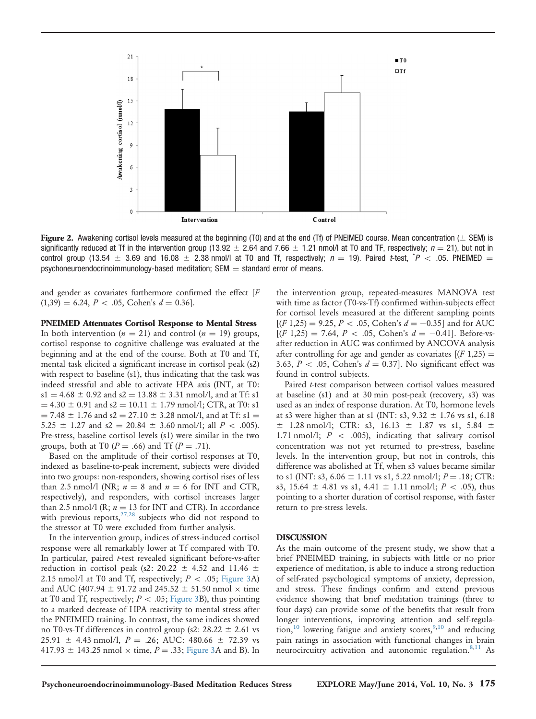<span id="page-5-0"></span>

Figure 2. Awakening cortisol levels measured at the beginning (T0) and at the end (Tf) of PNEIMED course. Mean concentration  $(\pm$  SEM) is significantly reduced at Tf in the intervention group (13.92  $\pm$  2.64 and 7.66  $\pm$  1.21 nmol/l at T0 and TF, respectively;  $n = 21$ ), but not in control group (13.54  $\pm$  3.69 and 16.08  $\pm$  2.38 nmol/l at T0 and Tf, respectively;  $n = 19$ ). Paired *t*-test,  $\Delta P$  < .05. PNEIMED = psychoneuroendocrinoimmunology-based meditation;  $SEM = standard error$  of means.

and gender as covariates furthermore confirmed the effect  $[F]$  $(1,39) = 6.24, P < .05, \text{ Cohen's } d = 0.36$ .

#### PNEIMED Attenuates Cortisol Response to Mental Stress

In both intervention ( $n = 21$ ) and control ( $n = 19$ ) groups, cortisol response to cognitive challenge was evaluated at the beginning and at the end of the course. Both at T0 and Tf, mental task elicited a significant increase in cortisol peak (s2) with respect to baseline (s1), thus indicating that the task was indeed stressful and able to activate HPA axis (INT, at T0:  $s1 = 4.68 \pm 0.92$  and  $s2 = 13.88 \pm 3.31$  nmol/l, and at Tf: s1  $= 4.30 \pm 0.91$  and  $s2 = 10.11 \pm 1.79$  nmol/l; CTR, at T0: s1  $= 7.48 \pm 1.76$  and s2  $= 27.10 \pm 3.28$  nmol/l, and at Tf: s1  $=$ 5.25  $\pm$  1.27 and s2 = 20.84  $\pm$  3.60 nmol/l; all P < .005). Pre-stress, baseline cortisol levels (s1) were similar in the two groups, both at T0 ( $P = .66$ ) and Tf ( $P = .71$ ).

Based on the amplitude of their cortisol responses at T0, indexed as baseline-to-peak increment, subjects were divided into two groups: non-responders, showing cortisol rises of less than 2.5 nmol/l (NR;  $n = 8$  and  $n = 6$  for INT and CTR, respectively), and responders, with cortisol increases larger than 2.5 nmol/l (R;  $n = 13$  for INT and CTR). In accordance with previous reports,  $27,28$  subjects who did not respond to the stressor at T0 were excluded from further analysis.

In the intervention group, indices of stress-induced cortisol response were all remarkably lower at Tf compared with T0. In particular, paired t-test revealed significant before-vs-after reduction in cortisol peak (s2: 20.22  $\pm$  4.52 and 11.46  $\pm$ 2.15 nmol/l at T0 and Tf, respectively;  $P < .05$ ; [Figure 3A](#page-6-0)) and AUC (407.94  $\pm$  91.72 and 245.52  $\pm$  51.50 nmol  $\times$  time at T0 and Tf, respectively;  $P < .05$ ; [Figure 3B](#page-6-0)), thus pointing to a marked decrease of HPA reactivity to mental stress after the PNEIMED training. In contrast, the same indices showed no T0-vs-Tf differences in control group (s2:  $28.22 \pm 2.61$  vs  $25.91 \pm 4.43 \text{ nmol/l}, P = .26$ ; AUC:  $480.66 \pm 72.39 \text{ vs.}$ 417.93  $\pm$  143.25 nmol  $\times$  time,  $P = .33$ ; [Figure 3](#page-6-0)A and B). In

the intervention group, repeated-measures MANOVA test with time as factor (T0-vs-Tf) confirmed within-subjects effect for cortisol levels measured at the different sampling points  $[(F 1,25) = 9.25, P < .05, \text{ Cohen's } d = -0.35]$  and for AUC  $[(F 1,25) = 7.64, P < .05, \text{ Cohen's } d = -0.41].$  Before-vsafter reduction in AUC was confirmed by ANCOVA analysis after controlling for age and gender as covariates  $[(F 1,25) =$ 3.63,  $P < .05$ , Cohen's  $d = 0.37$ ]. No significant effect was found in control subjects.

Paired t-test comparison between cortisol values measured at baseline (s1) and at 30 min post-peak (recovery, s3) was used as an index of response duration. At T0, hormone levels at s3 were higher than at s1 (INT: s3,  $9.32 \pm 1.76$  vs s1, 6.18)  $\pm$  1.28 nmol/l; CTR: s3, 16.13  $\pm$  1.87 vs s1, 5.84  $\pm$ 1.71 nmol/l;  $P \, < \, .005$ ), indicating that salivary cortisol concentration was not yet returned to pre-stress, baseline levels. In the intervention group, but not in controls, this difference was abolished at Tf, when s3 values became similar to s1 (INT: s3, 6.06  $\pm$  1.11 vs s1, 5.22 nmol/l; P = .18; CTR: s3, 15.64  $\pm$  4.81 vs s1, 4.41  $\pm$  1.11 nmol/l;  $P < .05$ ), thus pointing to a shorter duration of cortisol response, with faster return to pre-stress levels.

#### **DISCUSSION**

As the main outcome of the present study, we show that a brief PNEIMED training, in subjects with little or no prior experience of meditation, is able to induce a strong reduction of self-rated psychological symptoms of anxiety, depression, and stress. These findings confirm and extend previous evidence showing that brief meditation trainings (three to four days) can provide some of the benefits that result from longer interventions, improving attention and self-regula-tion,<sup>[10](#page-8-0)</sup> lowering fatigue and anxiety scores,<sup>[9,10](#page-8-0)</sup> and reducing pain ratings in association with functional changes in brain neurocircuitry activation and autonomic regulation. $8,11$  As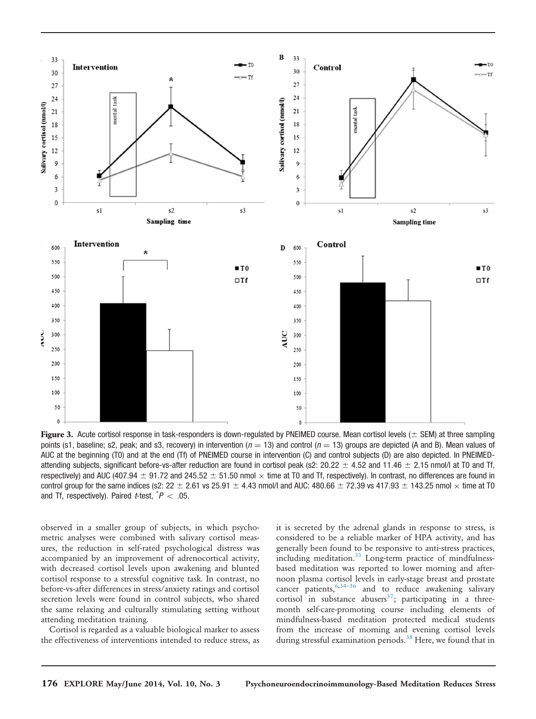<span id="page-6-0"></span>

Figure 3. Acute cortisol response in task-responders is down-regulated by PNEIMED course. Mean cortisol levels  $(\pm$  SEM) at three sampling points (s1, baseline; s2, peak; and s3, recovery) in intervention ( $n = 13$ ) and control ( $n = 13$ ) groups are depicted (A and B). Mean values of AUC at the beginning (T0) and at the end (Tf) of PNEIMED course in intervention (C) and control subjects (D) are also depicted. In PNEIMEDattending subjects, significant before-vs-after reduction are found in cortisol peak (s2: 20.22  $\pm$  4.52 and 11.46  $\pm$  2.15 nmol/l at T0 and Tf, respectively) and AUC (407.94  $\pm$  91.72 and 245.52  $\pm$  51.50 nmol  $\times$  time at T0 and Tf, respectively). In contrast, no differences are found in control group for the same indices (s2: 22  $\pm$  2.61 vs 25.91  $\pm$  4.43 nmol/l and AUC: 480.66  $\pm$  72.39 vs 417.93  $\pm$  143.25 nmol  $\times$  time at T0 and Tf, respectively). Paired *t*-test,  $\Delta P < 0.05$ .

observed in a smaller group of subjects, in which psychometric analyses were combined with salivary cortisol measures, the reduction in self-rated psychological distress was accompanied by an improvement of adrenocortical activity, with decreased cortisol levels upon awakening and blunted cortisol response to a stressful cognitive task. In contrast, no before-vs-after differences in stress/anxiety ratings and cortisol secretion levels were found in control subjects, who shared the same relaxing and culturally stimulating setting without attending meditation training.

Cortisol is regarded as a valuable biological marker to assess the effectiveness of interventions intended to reduce stress, as it is secreted by the adrenal glands in response to stress, is considered to be a reliable marker of HPA activity, and has generally been found to be responsive to anti-stress practices, including meditation.<sup>[33](#page-8-0)</sup> Long-term practice of mindfulnessbased meditation was reported to lower morning and afternoon plasma cortisol levels in early-stage breast and prostate cancer patients, <sup>[6,34](#page-8-0)–36</sup> and to reduce awakening salivary cortisol in substance abusers<sup>37</sup>; participating in a threemonth self-care-promoting course including elements of mindfulness-based meditation protected medical students from the increase of morning and evening cortisol levels during stressful examination periods.<sup>[38](#page-8-0)</sup> Here, we found that in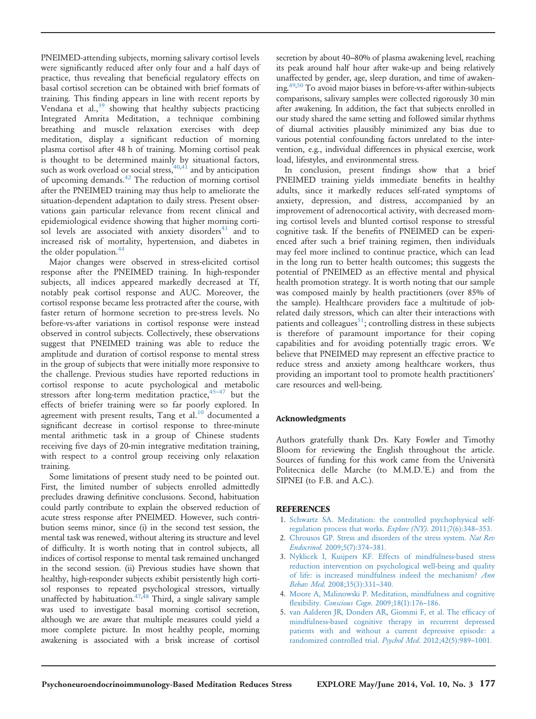<span id="page-7-0"></span>PNEIMED-attending subjects, morning salivary cortisol levels were significantly reduced after only four and a half days of practice, thus revealing that beneficial regulatory effects on basal cortisol secretion can be obtained with brief formats of training. This finding appears in line with recent reports by Vendana et al., $39$  showing that healthy subjects practicing Integrated Amrita Meditation, a technique combining breathing and muscle relaxation exercises with deep meditation, display a significant reduction of morning plasma cortisol after 48 h of training. Morning cortisol peak is thought to be determined mainly by situational factors, such as work overload or social stress,  $40,41$  and by anticipation of upcoming demands.[42](#page-8-0) The reduction of morning cortisol after the PNEIMED training may thus help to ameliorate the situation-dependent adaptation to daily stress. Present observations gain particular relevance from recent clinical and epidemiological evidence showing that higher morning corti-sol levels are associated with anxiety disorders<sup>[43](#page-8-0)</sup> and to increased risk of mortality, hypertension, and diabetes in the older population.<sup>[44](#page-8-0)</sup>

Major changes were observed in stress-elicited cortisol response after the PNEIMED training. In high-responder subjects, all indices appeared markedly decreased at Tf, notably peak cortisol response and AUC. Moreover, the cortisol response became less protracted after the course, with faster return of hormone secretion to pre-stress levels. No before-vs-after variations in cortisol response were instead observed in control subjects. Collectively, these observations suggest that PNEIMED training was able to reduce the amplitude and duration of cortisol response to mental stress in the group of subjects that were initially more responsive to the challenge. Previous studies have reported reductions in cortisol response to acute psychological and metabolic stressors after long-term meditation practice, $45-47$  $45-47$  but the effects of briefer training were so far poorly explored. In agreement with present results, Tang et al. $10$  documented a significant decrease in cortisol response to three-minute mental arithmetic task in a group of Chinese students receiving five days of 20-min integrative meditation training, with respect to a control group receiving only relaxation training.

Some limitations of present study need to be pointed out. First, the limited number of subjects enrolled admittedly precludes drawing definitive conclusions. Second, habituation could partly contribute to explain the observed reduction of acute stress response after PNEIMED. However, such contribution seems minor, since (i) in the second test session, the mental task was renewed, without altering its structure and level of difficulty. It is worth noting that in control subjects, all indices of cortisol response to mental task remained unchanged in the second session. (ii) Previous studies have shown that healthy, high-responder subjects exhibit persistently high cortisol responses to repeated psychological stressors, virtually unaffected by habituation.<sup>[47,48](#page-9-0)</sup> Third, a single salivary sample was used to investigate basal morning cortisol secretion, although we are aware that multiple measures could yield a more complete picture. In most healthy people, morning awakening is associated with a brisk increase of cortisol

secretion by about 40–80% of plasma awakening level, reaching its peak around half hour after wake-up and being relatively unaffected by gender, age, sleep duration, and time of awakening.[49,50](#page-9-0) To avoid major biases in before-vs-after within-subjects comparisons, salivary samples were collected rigorously 30 min after awakening. In addition, the fact that subjects enrolled in our study shared the same setting and followed similar rhythms of diurnal activities plausibly minimized any bias due to various potential confounding factors unrelated to the intervention, e.g., individual differences in physical exercise, work load, lifestyles, and environmental stress.

In conclusion, present findings show that a brief PNEIMED training yields immediate benefits in healthy adults, since it markedly reduces self-rated symptoms of anxiety, depression, and distress, accompanied by an improvement of adrenocortical activity, with decreased morning cortisol levels and blunted cortisol response to stressful cognitive task. If the benefits of PNEIMED can be experienced after such a brief training regimen, then individuals may feel more inclined to continue practice, which can lead in the long run to better health outcomes; this suggests the potential of PNEIMED as an effective mental and physical health promotion strategy. It is worth noting that our sample was composed mainly by health practitioners (over 85% of the sample). Healthcare providers face a multitude of jobrelated daily stressors, which can alter their interactions with patients and colleagues<sup>51</sup>; controlling distress in these subjects is therefore of paramount importance for their coping capabilities and for avoiding potentially tragic errors. We believe that PNEIMED may represent an effective practice to reduce stress and anxiety among healthcare workers, thus providing an important tool to promote health practitioners' care resources and well-being.

# Acknowledgments

Authors gratefully thank Drs. Katy Fowler and Timothy Bloom for reviewing the English throughout the article. Sources of funding for this work came from the Università Politecnica delle Marche (to M.M.D.'E.) and from the SIPNEI (to F.B. and A.C.).

## **REFERENCES**

- 1. [Schwartz SA. Meditation: the controlled psychophysical self](http://refhub.elsevier.com/S1550-8307(14)00030-5/sbref1)[regulation process that works.](http://refhub.elsevier.com/S1550-8307(14)00030-5/sbref1) Explore (NY). 2011;7(6):348–353.
- 2. [Chrousos GP. Stress and disorders of the stress system.](http://refhub.elsevier.com/S1550-8307(14)00030-5/sbref2) Nat Rev Endocrinol[. 2009;5\(7\):374](http://refhub.elsevier.com/S1550-8307(14)00030-5/sbref2)–381.
- 3. [Nyklicek I, Kuijpers KF. Effects of mindfulness-based stress](http://refhub.elsevier.com/S1550-8307(14)00030-5/sbref3) [reduction intervention on psychological well-being and quality](http://refhub.elsevier.com/S1550-8307(14)00030-5/sbref3) [of life: is increased mindfulness indeed the mechanism?](http://refhub.elsevier.com/S1550-8307(14)00030-5/sbref3) Ann Behav Med[. 2008;35\(3\):331](http://refhub.elsevier.com/S1550-8307(14)00030-5/sbref3)–340.
- 4. [Moore A, Malinowski P. Meditation, mindfulness and cognitive](http://refhub.elsevier.com/S1550-8307(14)00030-5/sbref4) flexibility. Conscious Cogn[. 2009;18\(1\):176](http://refhub.elsevier.com/S1550-8307(14)00030-5/sbref4)–186.
- 5. [van Aalderen JR, Donders AR, Giommi F, et al. The ef](http://refhub.elsevier.com/S1550-8307(14)00030-5/sbref5)ficacy of [mindfulness-based cognitive therapy in recurrent depressed](http://refhub.elsevier.com/S1550-8307(14)00030-5/sbref5) [patients with and without a current depressive episode: a](http://refhub.elsevier.com/S1550-8307(14)00030-5/sbref5) [randomized controlled trial.](http://refhub.elsevier.com/S1550-8307(14)00030-5/sbref5) Psychol Med. 2012;42(5):989–1001.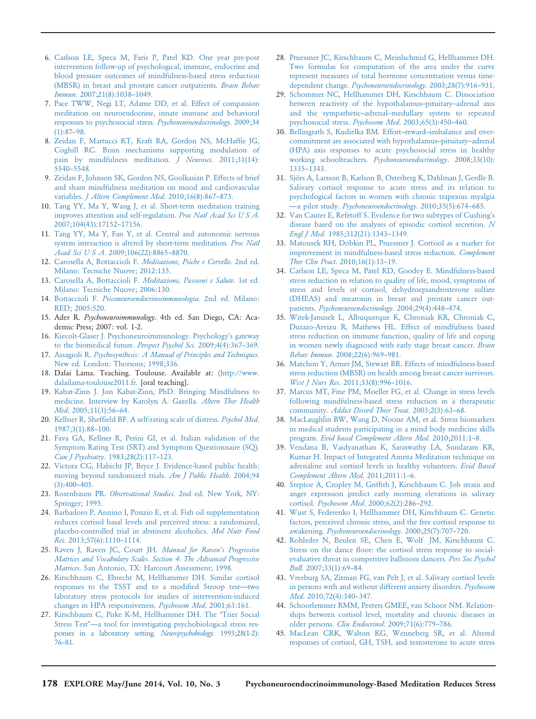- <span id="page-8-0"></span>6. [Carlson LE, Speca M, Faris P, Patel KD. One year pre-post](http://refhub.elsevier.com/S1550-8307(14)00030-5/sbref6) [intervention follow-up of psychological, immune, endocrine and](http://refhub.elsevier.com/S1550-8307(14)00030-5/sbref6) [blood pressure outcomes of mindfulness-based stress reduction](http://refhub.elsevier.com/S1550-8307(14)00030-5/sbref6) [\(MBSR\) in breast and prostate cancer outpatients.](http://refhub.elsevier.com/S1550-8307(14)00030-5/sbref6) Brain Behav Immun[. 2007;21\(8\):1038](http://refhub.elsevier.com/S1550-8307(14)00030-5/sbref6)–1049.
- 7. [Pace TWW, Negi LT, Adame DD, et al. Effect of compassion](http://refhub.elsevier.com/S1550-8307(14)00030-5/sbref7) [meditation on neuroendocrine, innate immune and behavioral](http://refhub.elsevier.com/S1550-8307(14)00030-5/sbref7) [responses to psychosocial stress.](http://refhub.elsevier.com/S1550-8307(14)00030-5/sbref7) Psychoneuroendocrinology. 2009;34 [\(1\):87](http://refhub.elsevier.com/S1550-8307(14)00030-5/sbref7)–98.
- 8. [Zeidan F, Martucci KT, Kraft RA, Gordon NS, McHaf](http://refhub.elsevier.com/S1550-8307(14)00030-5/sbref8)fie JG, [Coghill RC. Brain mechanisms supporting modulation of](http://refhub.elsevier.com/S1550-8307(14)00030-5/sbref8) [pain by mindfulness meditation.](http://refhub.elsevier.com/S1550-8307(14)00030-5/sbref8) *J Neurosci*. 2011;31(14): 5540–[5548.](http://refhub.elsevier.com/S1550-8307(14)00030-5/sbref8)
- 9. [Zeidan F, Johnson SK, Gordon NS, Goolkasian P. Effects of brief](http://refhub.elsevier.com/S1550-8307(14)00030-5/sbref9) [and sham mindfulness meditation on mood and cardiovascular](http://refhub.elsevier.com/S1550-8307(14)00030-5/sbref9) variables. [J Altern Complement Med](http://refhub.elsevier.com/S1550-8307(14)00030-5/sbref9). 2010;16(8):867-873.
- 10. [Tang YY, Ma Y, Wang J, et al. Short-term meditation training](http://refhub.elsevier.com/S1550-8307(14)00030-5/sbref10) [improves attention and self-regulation.](http://refhub.elsevier.com/S1550-8307(14)00030-5/sbref10) Proc Natl Acad Sci U S A. [2007;104\(43\):17152](http://refhub.elsevier.com/S1550-8307(14)00030-5/sbref10)–17156.
- 11. [Tang YY, Ma Y, Fan Y, et al. Central and autonomic nervous](http://refhub.elsevier.com/S1550-8307(14)00030-5/sbref11) [system interaction is altered by short-term meditation.](http://refhub.elsevier.com/S1550-8307(14)00030-5/sbref11) Proc Natl Acad Sci U S A[. 2009;106\(22\):8865](http://refhub.elsevier.com/S1550-8307(14)00030-5/sbref11)–8870.
- 12. Carosella A, Bottaccioli F. [Meditazione, Psiche e Cervello.](http://refhub.elsevier.com/S1550-8307(14)00030-5/sbref12) 2nd ed. [Milano: Tecniche Nuove; 2012:135.](http://refhub.elsevier.com/S1550-8307(14)00030-5/sbref12)
- 13. Carosella A, Bottaccioli F. [Meditazione, Passioni e Salute.](http://refhub.elsevier.com/S1550-8307(14)00030-5/sbref13) 1st ed. [Milano: Tecniche Nuove; 2006:130.](http://refhub.elsevier.com/S1550-8307(14)00030-5/sbref13)
- 14. Bottaccioli F. [Psiconeuroendocrinoimmunologia.](http://refhub.elsevier.com/S1550-8307(14)00030-5/sbref14) 2nd ed. Milano: [RED; 2005:520.](http://refhub.elsevier.com/S1550-8307(14)00030-5/sbref14)
- 15. Ader R. Psychoneuroimmunology. 4th ed. San Diego, CA: Academic Press; 2007: vol. 1-2.
- 16. [Kiecolt-Glaser J. Psychoneuroimmunology. Psychology](http://refhub.elsevier.com/S1550-8307(14)00030-5/sbref16)'s gateway [to the biomedical future.](http://refhub.elsevier.com/S1550-8307(14)00030-5/sbref16) Perspect Psychol Sci. 2009;4(4):367-369.
- 17. Assagioli R. [Psychosynthesis: A Manual of Principles and Techniques.](http://refhub.elsevier.com/S1550-8307(14)00030-5/sbref17) [New ed. London: Thorsons; 1998;336.](http://refhub.elsevier.com/S1550-8307(14)00030-5/sbref17)
- 18. Dalai Lama. Teaching. Toulouse. Available at: 〈[http://www.](http://www.dalailama-toulouse2011.fr) [dalailama-toulouse2011.fr](http://www.dalailama-toulouse2011.fr). [oral teaching].
- 19. [Kabat-Zinn J. Jon Kabat-Zinn, PhD. Bringing Mindfulness to](http://refhub.elsevier.com/S1550-8307(14)00030-5/sbref18) [medicine. Interview by Karolyn A. Gazella.](http://refhub.elsevier.com/S1550-8307(14)00030-5/sbref18) Altern Ther Health Med[. 2005;11\(3\):56](http://refhub.elsevier.com/S1550-8307(14)00030-5/sbref18)–64.
- 20. Kellner R, Sheffi[eld BF. A self-rating scale of distress.](http://refhub.elsevier.com/S1550-8307(14)00030-5/sbref19) Psychol Med. [1987;3\(1\):88](http://refhub.elsevier.com/S1550-8307(14)00030-5/sbref19)–100.
- 21. [Fava GA, Kellner R, Perini GI, et al. Italian validation of the](http://refhub.elsevier.com/S1550-8307(14)00030-5/sbref20) [Symptom Rating Test \(SRT\) and Symptom Questionnaire \(SQ\).](http://refhub.elsevier.com/S1550-8307(14)00030-5/sbref20) Can J Psychiatry[. 1983;28\(2\):117](http://refhub.elsevier.com/S1550-8307(14)00030-5/sbref20)-123.
- 22. [Victora CG, Habicht JP, Bryce J. Evidence-based public health:](http://refhub.elsevier.com/S1550-8307(14)00030-5/sbref21) [moving beyond randomized trials.](http://refhub.elsevier.com/S1550-8307(14)00030-5/sbref21) Am J Public Health. 2004;94 [\(3\):400](http://refhub.elsevier.com/S1550-8307(14)00030-5/sbref21)–405.
- 23. Rosenbaum PR. Observational Studies. [2nd ed. New York, NY:](http://refhub.elsevier.com/S1550-8307(14)00030-5/sbref22) [Springer; 1995.](http://refhub.elsevier.com/S1550-8307(14)00030-5/sbref22)
- 24. [Barbadoro P, Annino I, Ponzio E, et al. Fish oil supplementation](http://refhub.elsevier.com/S1550-8307(14)00030-5/sbref23) [reduces cortisol basal levels and perceived stress: a randomized,](http://refhub.elsevier.com/S1550-8307(14)00030-5/sbref23) [placebo-controlled trial in abstinent alcoholics.](http://refhub.elsevier.com/S1550-8307(14)00030-5/sbref23) Mol Nutr Food Res[. 2013;57\(6\):1110](http://refhub.elsevier.com/S1550-8307(14)00030-5/sbref23)–1114.
- 25. [Raven J, Raven JC, Court JH.](http://refhub.elsevier.com/S1550-8307(14)00030-5/sbref24) Manual for Raven's Progressive [Matrices and Vocabulary Scales. Section 4: The Advanced Progressive](http://refhub.elsevier.com/S1550-8307(14)00030-5/sbref24) Matrices. [San Antonio, TX: Harcourt Assessment; 1998.](http://refhub.elsevier.com/S1550-8307(14)00030-5/sbref24)
- 26. [Kirschbaum C, Ebrecht M, Hellhammer DH. Similar cortisol](http://refhub.elsevier.com/S1550-8307(14)00030-5/sbref25) [responses to the TSST and to a modi](http://refhub.elsevier.com/S1550-8307(14)00030-5/sbref25)fied Stroop test—two [laboratory stress protocols for studies of intervention-induced](http://refhub.elsevier.com/S1550-8307(14)00030-5/sbref25) [changes in HPA responsiveness.](http://refhub.elsevier.com/S1550-8307(14)00030-5/sbref25) Psychosom Med. 2001;63:161.
- 27. [Kirschbaum C, Pirke K-M, Hellhammer DH. The](http://refhub.elsevier.com/S1550-8307(14)00030-5/sbref26) "Trier Social Stress Test"—[a tool for investigating psychobiological stress res](http://refhub.elsevier.com/S1550-8307(14)00030-5/sbref26)[ponses in a laboratory setting.](http://refhub.elsevier.com/S1550-8307(14)00030-5/sbref26) Neuropsychobiology. 1993;28(1-2): 76–[81.](http://refhub.elsevier.com/S1550-8307(14)00030-5/sbref26)
- 28. [Pruessner JC, Kirschbaum C, Meinlschmid G, Hellhammer DH.](http://refhub.elsevier.com/S1550-8307(14)00030-5/sbref27) [Two formulas for computation of the area under the curve](http://refhub.elsevier.com/S1550-8307(14)00030-5/sbref27) [represent measures of total hormone concentration versus time](http://refhub.elsevier.com/S1550-8307(14)00030-5/sbref27)dependent change. [Psychoneuroendocrinology](http://refhub.elsevier.com/S1550-8307(14)00030-5/sbref27). 2003;28(7):916–931.
- 29. [Schommer NC, Hellhammer DH, Kirschbaum C. Dissociation](http://refhub.elsevier.com/S1550-8307(14)00030-5/sbref28) [between reactivity of the hypothalamus](http://refhub.elsevier.com/S1550-8307(14)00030-5/sbref28)–pituitary–adrenal axis and the sympathetic–adrenal–[medullary system to repeated](http://refhub.elsevier.com/S1550-8307(14)00030-5/sbref28) [psychosocial stress.](http://refhub.elsevier.com/S1550-8307(14)00030-5/sbref28) Psychosom Med. 2003;65(3):450–460.
- 30. [Bellingrath S, Kudielka BM. Effort](http://refhub.elsevier.com/S1550-8307(14)00030-5/sbref29)–reward–imbalance and over[commitment are associated with hypothalamus](http://refhub.elsevier.com/S1550-8307(14)00030-5/sbref29)–pituitary–adrenal [\(HPA\) axis responses to acute psychosocial stress in healthy](http://refhub.elsevier.com/S1550-8307(14)00030-5/sbref29) [working schoolteachers.](http://refhub.elsevier.com/S1550-8307(14)00030-5/sbref29) Psychoneuroendocrinology. 2008;33(10): 1335–[1343.](http://refhub.elsevier.com/S1550-8307(14)00030-5/sbref29)
- 31. [Sjörs A, Larsson B, Karlson B, Osterberg K, Dahlman J, Gerdle B.](http://refhub.elsevier.com/S1550-8307(14)00030-5/sbref30) [Salivary cortisol response to acute stress and its relation to](http://refhub.elsevier.com/S1550-8307(14)00030-5/sbref30) [psychological factors in women with chronic trapezius myalgia](http://refhub.elsevier.com/S1550-8307(14)00030-5/sbref30) —a pilot study. [Psychoneuroendocrinology](http://refhub.elsevier.com/S1550-8307(14)00030-5/sbref30). 2010;35(5):674–685.
- 32. [Van Cauter E, Refetoff S. Evidence for two subtypes of Cushing](http://refhub.elsevier.com/S1550-8307(14)00030-5/sbref31)'s [disease based on the analyses of episodic cortisol secretion.](http://refhub.elsevier.com/S1550-8307(14)00030-5/sbref31) N Engl J Med[. 1985;312\(21\):1343](http://refhub.elsevier.com/S1550-8307(14)00030-5/sbref31)–1349.
- 33. [Matousek RH, Dobkin PL, Pruessner J. Cortisol as a marker for](http://refhub.elsevier.com/S1550-8307(14)00030-5/sbref32) [improvement in mindfulness-based stress reduction.](http://refhub.elsevier.com/S1550-8307(14)00030-5/sbref32) Complement Ther Clin Pract[. 2010;16\(1\):13](http://refhub.elsevier.com/S1550-8307(14)00030-5/sbref32)–19.
- 34. [Carlson LE, Speca M, Patel KD, Goodey E. Mindfulness-based](http://refhub.elsevier.com/S1550-8307(14)00030-5/sbref33) [stress reduction in relation to quality of life, mood, symptoms of](http://refhub.elsevier.com/S1550-8307(14)00030-5/sbref33) [stress and levels of cortisol, dehydroepiandrosterone sulfate](http://refhub.elsevier.com/S1550-8307(14)00030-5/sbref33) [\(DHEAS\) and meatonin in breast and prostate cancer out](http://refhub.elsevier.com/S1550-8307(14)00030-5/sbref33)patients. [Psychoneuroendocrinology](http://refhub.elsevier.com/S1550-8307(14)00030-5/sbref33). 2004;29(4):448–474.
- 35. [Witek-Janusek L, Albuquerque K, Chroniak KR, Chroniak C,](http://refhub.elsevier.com/S1550-8307(14)00030-5/sbref34) [Durazo-Arvizu R, Mathews HL. Effect of mindfulness based](http://refhub.elsevier.com/S1550-8307(14)00030-5/sbref34) [stress reduction on immune function, quality of life and coping](http://refhub.elsevier.com/S1550-8307(14)00030-5/sbref34) [in women newly diagnosed with early stage breast cancer.](http://refhub.elsevier.com/S1550-8307(14)00030-5/sbref34) Brain Behav Immun[. 2008;22\(6\):969](http://refhub.elsevier.com/S1550-8307(14)00030-5/sbref34)–981.
- 36. [Matchim Y, Armer JM, Stewart BR. Effects of mindfulness-based](http://refhub.elsevier.com/S1550-8307(14)00030-5/sbref35) [stress reduction \(MBSR\) on health among breast cancer survivors.](http://refhub.elsevier.com/S1550-8307(14)00030-5/sbref35) West J Nurs Res[. 2011;33\(8\):996](http://refhub.elsevier.com/S1550-8307(14)00030-5/sbref35)-1016.
- 37. [Marcus MT, Fine PM, Moeller FG, et al. Change in stress levels](http://refhub.elsevier.com/S1550-8307(14)00030-5/sbref36) [following mindfulness-based stress reduction in a therapeutic](http://refhub.elsevier.com/S1550-8307(14)00030-5/sbref36) community. [Addict Disord Their Treat](http://refhub.elsevier.com/S1550-8307(14)00030-5/sbref36). 2003;2(3):63-68.
- 38. [MacLaughlin BW, Wang D, Noone AM, et al. Stress biomarkers](http://refhub.elsevier.com/S1550-8307(14)00030-5/sbref37) [in medical students participating in a mind body medicine skills](http://refhub.elsevier.com/S1550-8307(14)00030-5/sbref37) program. [Evid based Complement Altern Med](http://refhub.elsevier.com/S1550-8307(14)00030-5/sbref37). 2010;2011:1–8.
- 39. [Vendana B, Vaidyanathan K, Saraswathy LA, Sundaram KR,](http://refhub.elsevier.com/S1550-8307(14)00030-5/sbref38) [Kumar H. Impact of Integrated Amrita Meditation technique on](http://refhub.elsevier.com/S1550-8307(14)00030-5/sbref38) [adrenaline and cortisol levels in healthy volunteers.](http://refhub.elsevier.com/S1550-8307(14)00030-5/sbref38) Evid Based [Complement Altern Med](http://refhub.elsevier.com/S1550-8307(14)00030-5/sbref38). 2011;2011:1–6.
- 40. Steptoe A, Cropley M, Griffi[th J, Kirschbaum C. Job strain and](http://refhub.elsevier.com/S1550-8307(14)00030-5/sbref39) [anger expression predict early morning elevations in salivary](http://refhub.elsevier.com/S1550-8307(14)00030-5/sbref39) cortisol. Psychosom Med[. 2000;62\(2\):286](http://refhub.elsevier.com/S1550-8307(14)00030-5/sbref39)–292.
- 41. [Wust S, Federenko I, Hellhammer DH, Kirschbaum C. Genetic](http://refhub.elsevier.com/S1550-8307(14)00030-5/sbref40) [factors, perceived chronic stress, and the free cortisol response to](http://refhub.elsevier.com/S1550-8307(14)00030-5/sbref40) awakening. [Psychoneuroendocrinology](http://refhub.elsevier.com/S1550-8307(14)00030-5/sbref40). 2000;25(7):707–720.
- 42. [Rohleder N, Beulen SE, Chen E, Wolf JM, Kirschbaum C.](http://refhub.elsevier.com/S1550-8307(14)00030-5/sbref41) Stress on the dance fl[oor: the cortisol stress response to social](http://refhub.elsevier.com/S1550-8307(14)00030-5/sbref41)[evaluative threat in competitive ballroom dancers.](http://refhub.elsevier.com/S1550-8307(14)00030-5/sbref41) Pers Soc Psychol Bull[. 2007;33\(1\):69](http://refhub.elsevier.com/S1550-8307(14)00030-5/sbref41)–84.
- 43. [Vreeburg SA, Zitman FG, van Pelt J, et al. Salivary cortisol levels](http://refhub.elsevier.com/S1550-8307(14)00030-5/sbref42) [in persons with and without different anxiety disorders.](http://refhub.elsevier.com/S1550-8307(14)00030-5/sbref42) Psychosom Med[. 2010;72\(4\):340](http://refhub.elsevier.com/S1550-8307(14)00030-5/sbref42)–347.
- 44. [Schoorlemmer RMM, Peeters GMEE, van Schoor NM. Relation](http://refhub.elsevier.com/S1550-8307(14)00030-5/sbref43)[ships between cortisol level, mortality and chronic diseases in](http://refhub.elsevier.com/S1550-8307(14)00030-5/sbref43) older persons. Clin Endocrinol[. 2009;71\(6\):779](http://refhub.elsevier.com/S1550-8307(14)00030-5/sbref43)–786.
- 45. [MacLean CRK, Walton KG, Wenneberg SR, et al. Altered](http://refhub.elsevier.com/S1550-8307(14)00030-5/sbref44) [responses of cortisol, GH, TSH, and testosterone to acute stress](http://refhub.elsevier.com/S1550-8307(14)00030-5/sbref44)